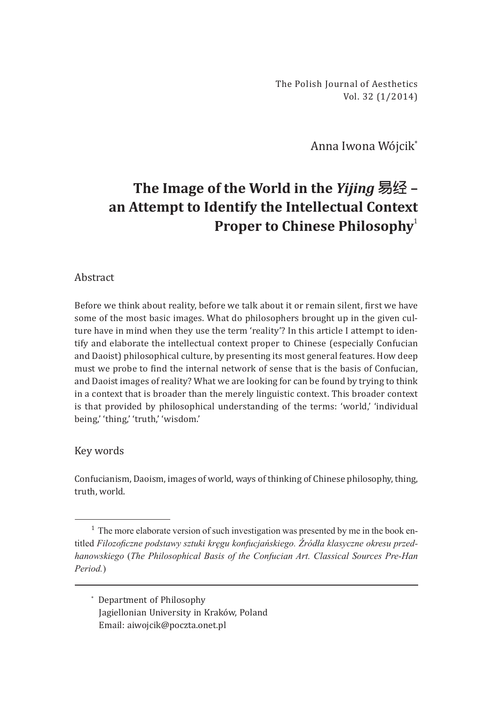The Polish Journal of Aesthetics Vol. 32 (1/2014)

Anna Iwona Wójcik\*

## **The Image of the World in the** *Yijing* **易经 – an Attempt to Identify the Intellectual Context Proper to Chinese Philosophy**<sup>1</sup>

## Abstract

Before we think about reality, before we talk about it or remain silent, first we have some of the most basic images. What do philosophers brought up in the given culture have in mind when they use the term 'reality'? In this article I attempt to identify and elaborate the intellectual context proper to Chinese (especially Confucian and Daoist) philosophical culture, by presenting its most general features. How deep must we probe to find the internal network of sense that is the basis of Confucian, and Daoist images of reality? What we are looking for can be found by trying to think in a context that is broader than the merely linguistic context. This broader context is that provided by philosophical understanding of the terms: 'world,' 'individual being,' 'thing,' 'truth,' 'wisdom.'

## Key words

Confucianism, Daoism, images of world, ways of thinking of Chinese philosophy, thing, truth, world.

\* Department of Philosophy Jagiellonian University in Kraków, Poland Email: aiwojcik@poczta.onet.pl

<sup>&</sup>lt;sup>1</sup> The more elaborate version of such investigation was presented by me in the book entitled *Filozoficzne podstawy sztuki kręgu konfucjańskiego. Źródła klasyczne okresu przedhanowskiego* (*The Philosophical Basis of the Confucian Art. Classical Sources Pre-Han Period.*)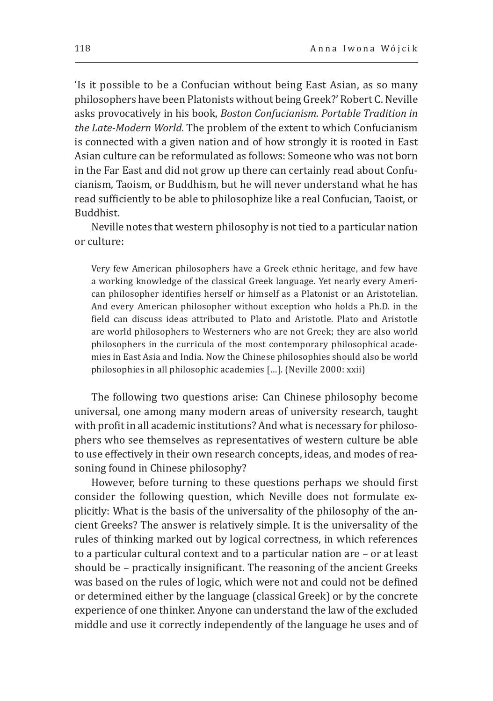'Is it possible to be a Confucian without being East Asian, as so many philosophers have been Platonists without being Greek?' Robert C. Neville asks provocatively in his book, *Boston Confucianism. Portable Tradition in the Late-Modern World*. The problem of the extent to which Confucianism is connected with a given nation and of how strongly it is rooted in East Asian culture can be reformulated as follows: Someone who was not born in the Far East and did not grow up there can certainly read about Confucianism, Taoism, or Buddhism, but he will never understand what he has read sufficiently to be able to philosophize like a real Confucian, Taoist, or Buddhist.

Neville notes that western philosophy is not tied to a particular nation or culture:

Very few American philosophers have a Greek ethnic heritage, and few have a working knowledge of the classical Greek language. Yet nearly every American philosopher identifies herself or himself as a Platonist or an Aristotelian. And every American philosopher without exception who holds a Ph.D. in the field can discuss ideas attributed to Plato and Aristotle. Plato and Aristotle are world philosophers to Westerners who are not Greek; they are also world philosophers in the curricula of the most contemporary philosophical academies in East Asia and India. Now the Chinese philosophies should also be world philosophies in all philosophic academies […]. (Neville 2000: xxii)

The following two questions arise: Can Chinese philosophy become universal, one among many modern areas of university research, taught with profit in all academic institutions? And what is necessary for philosophers who see themselves as representatives of western culture be able to use effectively in their own research concepts, ideas, and modes of reasoning found in Chinese philosophy?

However, before turning to these questions perhaps we should first consider the following question, which Neville does not formulate explicitly: What is the basis of the universality of the philosophy of the ancient Greeks? The answer is relatively simple. It is the universality of the rules of thinking marked out by logical correctness, in which references to a particular cultural context and to a particular nation are – or at least should be – practically insignificant. The reasoning of the ancient Greeks was based on the rules of logic, which were not and could not be defined or determined either by the language (classical Greek) or by the concrete experience of one thinker. Anyone can understand the law of the excluded middle and use it correctly independently of the language he uses and of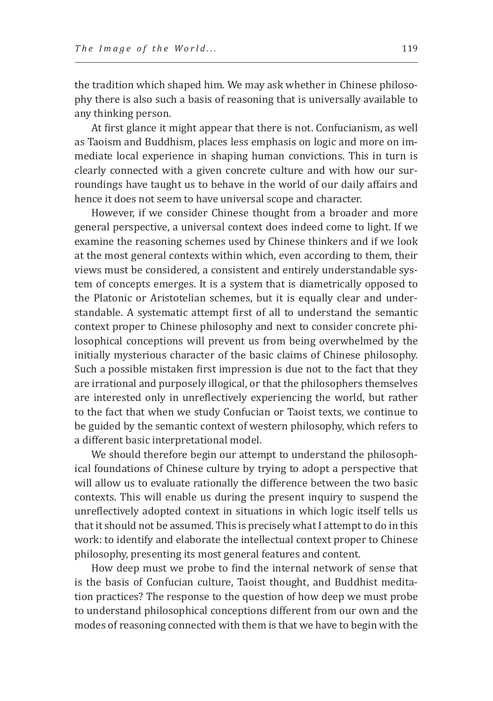the tradition which shaped him. We may ask whether in Chinese philosophy there is also such a basis of reasoning that is universally available to any thinking person.

At first glance it might appear that there is not. Confucianism, as well as Taoism and Buddhism, places less emphasis on logic and more on immediate local experience in shaping human convictions. This in turn is clearly connected with a given concrete culture and with how our surroundings have taught us to behave in the world of our daily affairs and hence it does not seem to have universal scope and character.

However, if we consider Chinese thought from a broader and more general perspective, a universal context does indeed come to light. If we examine the reasoning schemes used by Chinese thinkers and if we look at the most general contexts within which, even according to them, their views must be considered, a consistent and entirely understandable system of concepts emerges. It is a system that is diametrically opposed to the Platonic or Aristotelian schemes, but it is equally clear and understandable. A systematic attempt first of all to understand the semantic context proper to Chinese philosophy and next to consider concrete philosophical conceptions will prevent us from being overwhelmed by the initially mysterious character of the basic claims of Chinese philosophy. Such a possible mistaken first impression is due not to the fact that they are irrational and purposely illogical, or that the philosophers themselves are interested only in unreflectively experiencing the world, but rather to the fact that when we study Confucian or Taoist texts, we continue to be guided by the semantic context of western philosophy, which refers to a different basic interpretational model.

We should therefore begin our attempt to understand the philosophical foundations of Chinese culture by trying to adopt a perspective that will allow us to evaluate rationally the difference between the two basic contexts. This will enable us during the present inquiry to suspend the unreflectively adopted context in situations in which logic itself tells us that it should not be assumed. This is precisely what I attempt to do in this work: to identify and elaborate the intellectual context proper to Chinese philosophy, presenting its most general features and content.

How deep must we probe to find the internal network of sense that is the basis of Confucian culture, Taoist thought, and Buddhist meditation practices? The response to the question of how deep we must probe to understand philosophical conceptions different from our own and the modes of reasoning connected with them is that we have to begin with the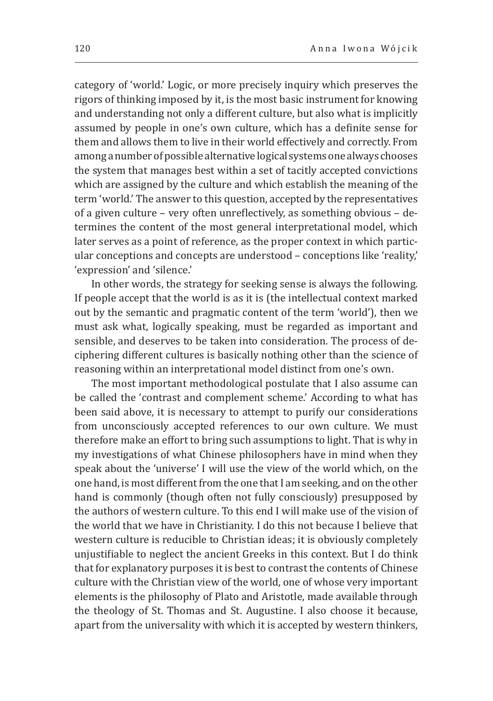category of 'world.' Logic, or more precisely inquiry which preserves the rigors of thinking imposed by it, is the most basic instrument for knowing and understanding not only a different culture, but also what is implicitly assumed by people in one's own culture, which has a definite sense for them and allows them to live in their world effectively and correctly. From among a number of possible alternative logical systems one always chooses the system that manages best within a set of tacitly accepted convictions which are assigned by the culture and which establish the meaning of the term 'world.' The answer to this question, accepted by the representatives of a given culture – very often unreflectively, as something obvious – determines the content of the most general interpretational model, which later serves as a point of reference, as the proper context in which particular conceptions and concepts are understood – conceptions like 'reality,' 'expression' and 'silence.'

In other words, the strategy for seeking sense is always the following. If people accept that the world is as it is (the intellectual context marked out by the semantic and pragmatic content of the term 'world'), then we must ask what, logically speaking, must be regarded as important and sensible, and deserves to be taken into consideration. The process of deciphering different cultures is basically nothing other than the science of reasoning within an interpretational model distinct from one's own.

The most important methodological postulate that I also assume can be called the 'contrast and complement scheme.' According to what has been said above, it is necessary to attempt to purify our considerations from unconsciously accepted references to our own culture. We must therefore make an effort to bring such assumptions to light. That is why in my investigations of what Chinese philosophers have in mind when they speak about the 'universe' I will use the view of the world which, on the one hand, is most different from the one that I am seeking, and on the other hand is commonly (though often not fully consciously) presupposed by the authors of western culture. To this end I will make use of the vision of the world that we have in Christianity. I do this not because I believe that western culture is reducible to Christian ideas; it is obviously completely unjustifiable to neglect the ancient Greeks in this context. But I do think that for explanatory purposes it is best to contrast the contents of Chinese culture with the Christian view of the world, one of whose very important elements is the philosophy of Plato and Aristotle, made available through the theology of St. Thomas and St. Augustine. I also choose it because, apart from the universality with which it is accepted by western thinkers,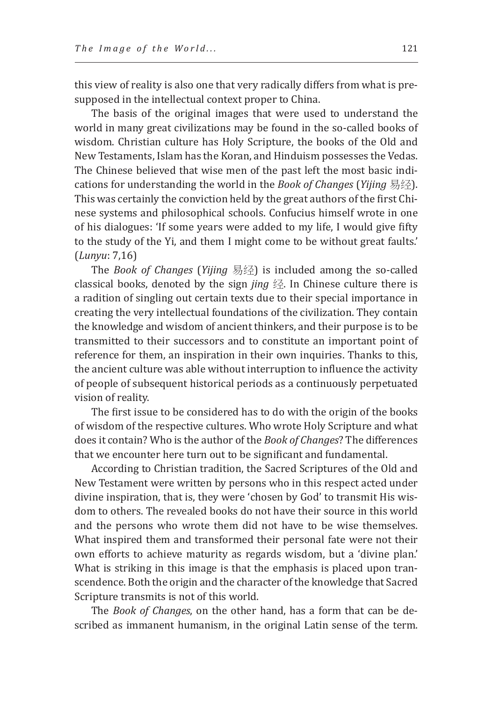this view of reality is also one that very radically differs from what is presupposed in the intellectual context proper to China.

The basis of the original images that were used to understand the world in many great civilizations may be found in the so-called books of wisdom. Christian culture has Holy Scripture, the books of the Old and New Testaments, Islam has the Koran, and Hinduism possesses the Vedas. The Chinese believed that wise men of the past left the most basic indications for understanding the world in the *Book of Changes* (*Yijing* 易经). This was certainly the conviction held by the great authors of the first Chinese systems and philosophical schools. Confucius himself wrote in one of his dialogues: 'If some years were added to my life, I would give fifty to the study of the Yi, and them I might come to be without great faults.' (*Lunyu*: 7,16)

The *Book of Changes* (*Yijing* 易经) is included among the so-called classical books, denoted by the sign *jing* 经. In Chinese culture there is a radition of singling out certain texts due to their special importance in creating the very intellectual foundations of the civilization. They contain the knowledge and wisdom of ancient thinkers, and their purpose is to be transmitted to their successors and to constitute an important point of reference for them, an inspiration in their own inquiries. Thanks to this, the ancient culture was able without interruption to influence the activity of people of subsequent historical periods as a continuously perpetuated vision of reality.

The first issue to be considered has to do with the origin of the books of wisdom of the respective cultures. Who wrote Holy Scripture and what does it contain? Who is the author of the *Book of Changes*? The differences that we encounter here turn out to be significant and fundamental.

According to Christian tradition, the Sacred Scriptures of the Old and New Testament were written by persons who in this respect acted under divine inspiration, that is, they were 'chosen by God' to transmit His wisdom to others. The revealed books do not have their source in this world and the persons who wrote them did not have to be wise themselves. What inspired them and transformed their personal fate were not their own efforts to achieve maturity as regards wisdom, but a 'divine plan.' What is striking in this image is that the emphasis is placed upon transcendence. Both the origin and the character of the knowledge that Sacred Scripture transmits is not of this world.

The *Book of Changes*, on the other hand, has a form that can be described as immanent humanism, in the original Latin sense of the term.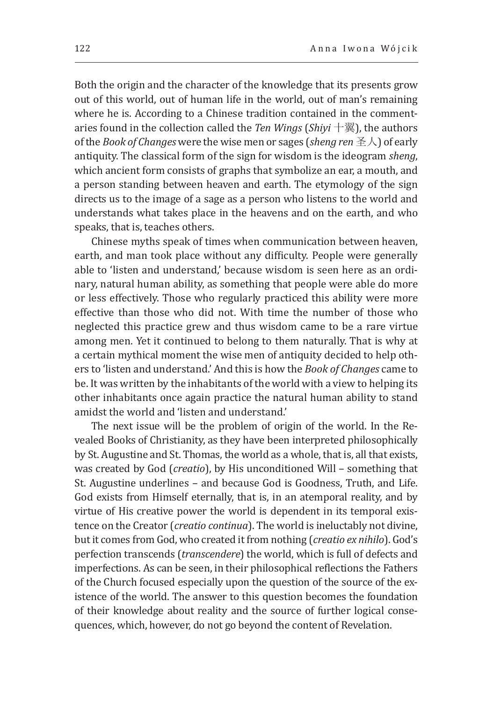Both the origin and the character of the knowledge that its presents grow out of this world, out of human life in the world, out of man's remaining where he is. According to a Chinese tradition contained in the commentaries found in the collection called the *Ten Wings* (*Shiyi* 十翼), the authors of the *Book of Changes* were the wise men or sages (*sheng ren*圣人) of early antiquity. The classical form of the sign for wisdom is the ideogram *sheng*, which ancient form consists of graphs that symbolize an ear, a mouth, and a person standing between heaven and earth. The etymology of the sign directs us to the image of a sage as a person who listens to the world and understands what takes place in the heavens and on the earth, and who speaks, that is, teaches others.

Chinese myths speak of times when communication between heaven, earth, and man took place without any difficulty. People were generally able to 'listen and understand,' because wisdom is seen here as an ordinary, natural human ability, as something that people were able do more or less effectively. Those who regularly practiced this ability were more effective than those who did not. With time the number of those who neglected this practice grew and thus wisdom came to be a rare virtue among men. Yet it continued to belong to them naturally. That is why at a certain mythical moment the wise men of antiquity decided to help others to 'listen and understand.' And this is how the *Book of Changes* came to be. It was written by the inhabitants of the world with a view to helping its other inhabitants once again practice the natural human ability to stand amidst the world and 'listen and understand.'

The next issue will be the problem of origin of the world. In the Revealed Books of Christianity, as they have been interpreted philosophically by St. Augustine and St. Thomas, the world as a whole, that is, all that exists, was created by God (*creatio*), by His unconditioned Will – something that St. Augustine underlines – and because God is Goodness, Truth, and Life. God exists from Himself eternally, that is, in an atemporal reality, and by virtue of His creative power the world is dependent in its temporal existence on the Creator (*creatio continua*). The world is ineluctably not divine, but it comes from God, who created it from nothing (*creatio ex nihilo*). God's perfection transcends (*transcendere*) the world, which is full of defects and imperfections. As can be seen, in their philosophical reflections the Fathers of the Church focused especially upon the question of the source of the existence of the world. The answer to this question becomes the foundation of their knowledge about reality and the source of further logical consequences, which, however, do not go beyond the content of Revelation.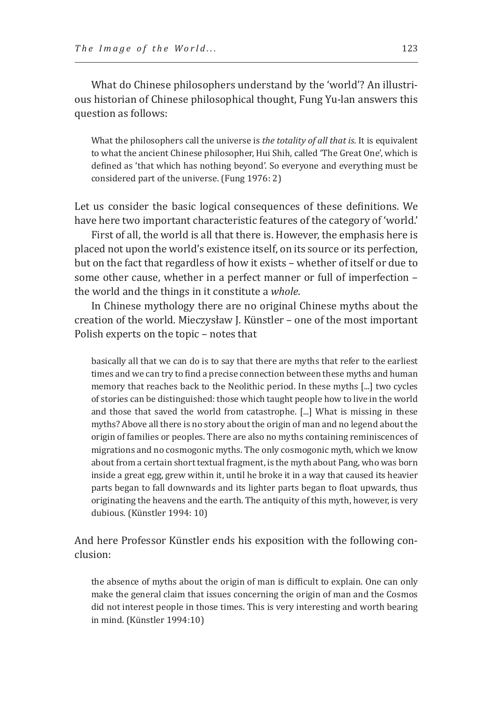What do Chinese philosophers understand by the 'world'? An illustrious historian of Chinese philosophical thought, Fung Yu-lan answers this question as follows:

What the philosophers call the universe is *the totality of all that is*. It is equivalent to what the ancient Chinese philosopher, Hui Shih, called 'The Great One', which is defined as 'that which has nothing beyond'. So everyone and everything must be considered part of the universe. (Fung 1976: 2)

Let us consider the basic logical consequences of these definitions. We have here two important characteristic features of the category of 'world.'

First of all, the world is all that there is. However, the emphasis here is placed not upon the world's existence itself, on its source or its perfection, but on the fact that regardless of how it exists – whether of itself or due to some other cause, whether in a perfect manner or full of imperfection – the world and the things in it constitute a *whole*.

In Chinese mythology there are no original Chinese myths about the creation of the world. Mieczysław J. Künstler – one of the most important Polish experts on the topic – notes that

basically all that we can do is to say that there are myths that refer to the earliest times and we can try to find a precise connection between these myths and human memory that reaches back to the Neolithic period. In these myths [...] two cycles of stories can be distinguished: those which taught people how to live in the world and those that saved the world from catastrophe. [...] What is missing in these myths? Above all there is no story about the origin of man and no legend about the origin of families or peoples. There are also no myths containing reminiscences of migrations and no cosmogonic myths. The only cosmogonic myth, which we know about from a certain short textual fragment, is the myth about Pang, who was born inside a great egg, grew within it, until he broke it in a way that caused its heavier parts began to fall downwards and its lighter parts began to float upwards, thus originating the heavens and the earth. The antiquity of this myth, however, is very dubious. (Künstler 1994: 10)

And here Professor Künstler ends his exposition with the following conclusion:

the absence of myths about the origin of man is difficult to explain. One can only make the general claim that issues concerning the origin of man and the Cosmos did not interest people in those times. This is very interesting and worth bearing in mind. (Künstler 1994:10)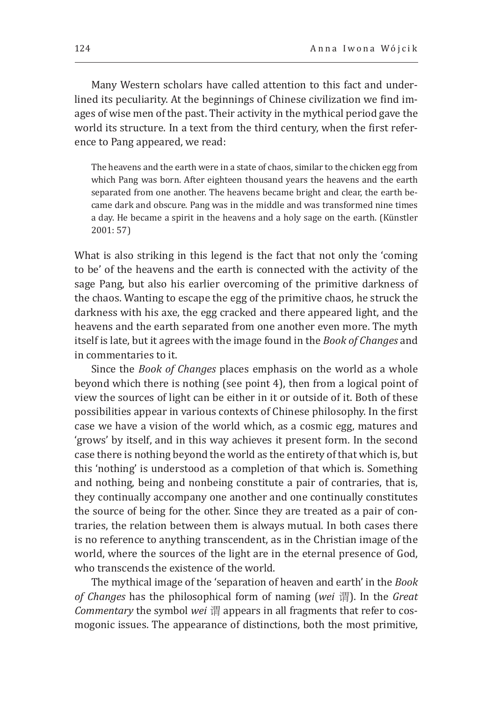Many Western scholars have called attention to this fact and underlined its peculiarity. At the beginnings of Chinese civilization we find images of wise men of the past. Their activity in the mythical period gave the world its structure. In a text from the third century, when the first reference to Pang appeared, we read:

The heavens and the earth were in a state of chaos, similar to the chicken egg from which Pang was born. After eighteen thousand years the heavens and the earth separated from one another. The heavens became bright and clear, the earth became dark and obscure. Pang was in the middle and was transformed nine times a day. He became a spirit in the heavens and a holy sage on the earth. (Künstler 2001: 57)

What is also striking in this legend is the fact that not only the 'coming to be' of the heavens and the earth is connected with the activity of the sage Pang, but also his earlier overcoming of the primitive darkness of the chaos. Wanting to escape the egg of the primitive chaos, he struck the darkness with his axe, the egg cracked and there appeared light, and the heavens and the earth separated from one another even more. The myth itself is late, but it agrees with the image found in the *Book of Changes* and in commentaries to it.

Since the *Book of Changes* places emphasis on the world as a whole beyond which there is nothing (see point 4), then from a logical point of view the sources of light can be either in it or outside of it. Both of these possibilities appear in various contexts of Chinese philosophy. In the first case we have a vision of the world which, as a cosmic egg, matures and 'grows' by itself, and in this way achieves it present form. In the second case there is nothing beyond the world as the entirety of that which is, but this 'nothing' is understood as a completion of that which is. Something and nothing, being and nonbeing constitute a pair of contraries, that is, they continually accompany one another and one continually constitutes the source of being for the other. Since they are treated as a pair of contraries, the relation between them is always mutual. In both cases there is no reference to anything transcendent, as in the Christian image of the world, where the sources of the light are in the eternal presence of God, who transcends the existence of the world.

The mythical image of the 'separation of heaven and earth' in the *Book of Changes* has the philosophical form of naming (*wei* 谓). In the *Great Commentary* the symbol *wei* 谓 appears in all fragments that refer to cosmogonic issues. The appearance of distinctions, both the most primitive,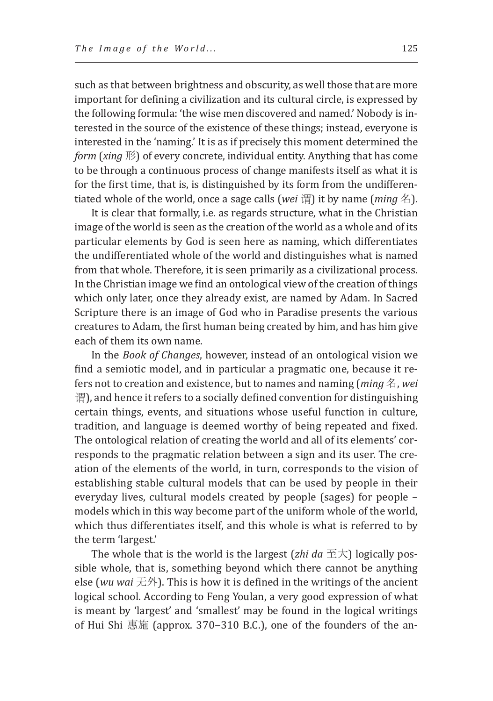such as that between brightness and obscurity, as well those that are more important for defining a civilization and its cultural circle, is expressed by the following formula: 'the wise men discovered and named.' Nobody is interested in the source of the existence of these things; instead, everyone is interested in the 'naming.' It is as if precisely this moment determined the *form* (*xing* 形) of every concrete, individual entity. Anything that has come to be through a continuous process of change manifests itself as what it is for the first time, that is, is distinguished by its form from the undifferentiated whole of the world, once a sage calls (*wei* 谓) it by name (*ming* 名).

It is clear that formally, i.e. as regards structure, what in the Christian image of the world is seen as the creation of the world as a whole and of its particular elements by God is seen here as naming, which differentiates the undifferentiated whole of the world and distinguishes what is named from that whole. Therefore, it is seen primarily as a civilizational process. In the Christian image we find an ontological view of the creation of things which only later, once they already exist, are named by Adam. In Sacred Scripture there is an image of God who in Paradise presents the various creatures to Adam, the first human being created by him, and has him give each of them its own name.

In the *Book of Changes*, however, instead of an ontological vision we find a semiotic model, and in particular a pragmatic one, because it refers not to creation and existence, but to names and naming (*ming* 名, *wei* 谓), and hence it refers to a socially defined convention for distinguishing certain things, events, and situations whose useful function in culture, tradition, and language is deemed worthy of being repeated and fixed. The ontological relation of creating the world and all of its elements' corresponds to the pragmatic relation between a sign and its user. The creation of the elements of the world, in turn, corresponds to the vision of establishing stable cultural models that can be used by people in their everyday lives, cultural models created by people (sages) for people – models which in this way become part of the uniform whole of the world, which thus differentiates itself, and this whole is what is referred to by the term 'largest.'

The whole that is the world is the largest (*zhi da*  $\overline{\pm}$ ) logically possible whole, that is, something beyond which there cannot be anything else (*wu wai* 无外). This is how it is defined in the writings of the ancient logical school. According to Feng Youlan, a very good expression of what is meant by 'largest' and 'smallest' may be found in the logical writings of Hui Shi 惠施 (approx. 370-310 B.C.), one of the founders of the an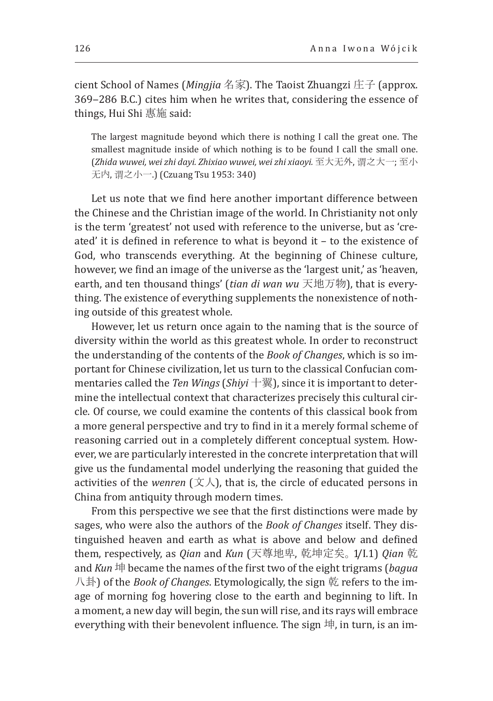cient School of Names (*Mingjia* 名家). The Taoist Zhuangzi 庄子 (approx. 369-286 B.C.) cites him when he writes that, considering the essence of things, Hui Shi 惠施 said:

The largest magnitude beyond which there is nothing I call the great one. The smallest magnitude inside of which nothing is to be found I call the small one. (*Zhida wuwei, wei zhi dayi. Zhixiao wuwei, wei zhi xiaoyi.* 至大无外, 谓之大一; 至小 无内, 谓之小一.) (Czuang Tsu 1953: 340)

Let us note that we find here another important difference between the Chinese and the Christian image of the world. In Christianity not only is the term 'greatest' not used with reference to the universe, but as 'created' it is defined in reference to what is beyond it – to the existence of God, who transcends everything. At the beginning of Chinese culture, however, we find an image of the universe as the 'largest unit,' as 'heaven, earth, and ten thousand things' (*tian di wan wu* 天地万物), that is everything. The existence of everything supplements the nonexistence of nothing outside of this greatest whole.

However, let us return once again to the naming that is the source of diversity within the world as this greatest whole. In order to reconstruct the understanding of the contents of the *Book of Changes*, which is so important for Chinese civilization, let us turn to the classical Confucian commentaries called the *Ten Wings* (*Shiyi* 十翼), since it is important to determine the intellectual context that characterizes precisely this cultural circle. Of course, we could examine the contents of this classical book from a more general perspective and try to find in it a merely formal scheme of reasoning carried out in a completely different conceptual system. However, we are particularly interested in the concrete interpretation that will give us the fundamental model underlying the reasoning that guided the activities of the *wenren*  $(\nabla \Lambda)$ , that is, the circle of educated persons in China from antiquity through modern times.

From this perspective we see that the first distinctions were made by sages, who were also the authors of the *Book of Changes* itself. They distinguished heaven and earth as what is above and below and defined them, respectively, as *Qian* and *Kun* (天尊地卑, 乾坤定矣。1/I.1) *Qian* 乾 and *Kun* 坤 became the names of the first two of the eight trigrams (*bagua* 八卦) of the *Book of Changes*. Etymologically, the sign 乾 refers to the image of morning fog hovering close to the earth and beginning to lift. In a moment, a new day will begin, the sun will rise, and its rays will embrace everything with their benevolent influence. The sign  $#$ , in turn, is an im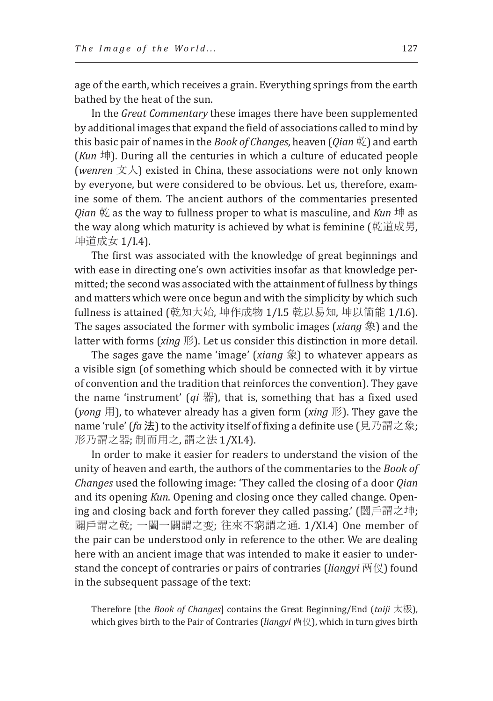age of the earth, which receives a grain. Everything springs from the earth bathed by the heat of the sun.

In the *Great Commentary* these images there have been supplemented by additional images that expand the field of associations called to mind by this basic pair of names in the *Book of Changes*, heaven (*Qian* 乾) and earth (*Kun* 坤). During all the centuries in which a culture of educated people (*wenren* 文人) existed in China, these associations were not only known by everyone, but were considered to be obvious. Let us, therefore, examine some of them. The ancient authors of the commentaries presented *Qian* 乾 as the way to fullness proper to what is masculine, and *Kun* 坤 as the way along which maturity is achieved by what is feminine (乾道成男, 坤道成女 1/I.4).

The first was associated with the knowledge of great beginnings and with ease in directing one's own activities insofar as that knowledge permitted; the second was associated with the attainment of fullness by things and matters which were once begun and with the simplicity by which such fullness is attained (乾知大始, 坤作成物 1/I.5 乾以易知, 坤以簡能 1/I.6). The sages associated the former with symbolic images (*xiang* 象) and the latter with forms (*xing* 形). Let us consider this distinction in more detail.

The sages gave the name 'image' (*xiang* 象) to whatever appears as a visible sign (of something which should be connected with it by virtue of convention and the tradition that reinforces the convention). They gave the name 'instrument' (*qi* 器), that is, something that has a fixed used (*yong* 用), to whatever already has a given form (*xing* 形). They gave the name 'rule' (*fa* 法) to the activity itself of fixing a definite use (見乃謂之象; 形乃謂之器; 制而用之, 謂之法 1/XI.4).

In order to make it easier for readers to understand the vision of the unity of heaven and earth, the authors of the commentaries to the *Book of Changes* used the following image: 'They called the closing of a door *Qian* and its opening *Kun*. Opening and closing once they called change. Opening and closing back and forth forever they called passing.' (闔戶謂之坤; 闢戶謂之乾; 一闔一闢謂之变; 往來不窮謂之通. 1/XI.4) One member of the pair can be understood only in reference to the other. We are dealing here with an ancient image that was intended to make it easier to understand the concept of contraries or pairs of contraries (*liangyi* 两仪) found in the subsequent passage of the text:

Therefore [the *Book of Changes*] contains the Great Beginning/End (*taiji* 太极), which gives birth to the Pair of Contraries (*liangyi* 两仪), which in turn gives birth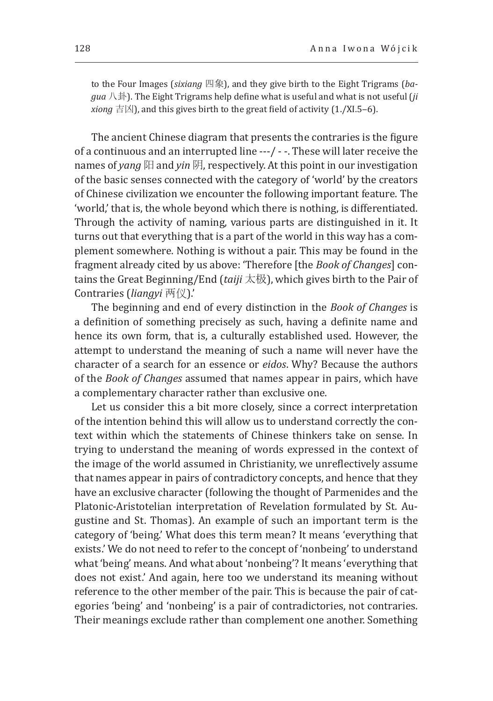to the Four Images (*sixiang* 四象), and they give birth to the Eight Trigrams (*bagua* 八卦). The Eight Trigrams help define what is useful and what is not useful (*ji xiong*  $\pm \boxtimes$ ), and this gives birth to the great field of activity (1./XI.5–6).

The ancient Chinese diagram that presents the contraries is the figure of a continuous and an interrupted line ---/ - -. These will later receive the names of *yang* 阳 and *yin* 阴, respectively. At this point in our investigation of the basic senses connected with the category of 'world' by the creators of Chinese civilization we encounter the following important feature. The 'world,' that is, the whole beyond which there is nothing, is differentiated. Through the activity of naming, various parts are distinguished in it. It turns out that everything that is a part of the world in this way has a complement somewhere. Nothing is without a pair. This may be found in the fragment already cited by us above: 'Therefore [the *Book of Changes*] contains the Great Beginning/End (*taiji* 太极), which gives birth to the Pair of Contraries (*liangyi* 两仪).'

The beginning and end of every distinction in the *Book of Changes* is a definition of something precisely as such, having a definite name and hence its own form, that is, a culturally established used. However, the attempt to understand the meaning of such a name will never have the character of a search for an essence or *eidos*. Why? Because the authors of the *Book of Changes* assumed that names appear in pairs, which have a complementary character rather than exclusive one.

Let us consider this a bit more closely, since a correct interpretation of the intention behind this will allow us to understand correctly the context within which the statements of Chinese thinkers take on sense. In trying to understand the meaning of words expressed in the context of the image of the world assumed in Christianity, we unreflectively assume that names appear in pairs of contradictory concepts, and hence that they have an exclusive character (following the thought of Parmenides and the Platonic-Aristotelian interpretation of Revelation formulated by St. Augustine and St. Thomas). An example of such an important term is the category of 'being.' What does this term mean? It means 'everything that exists.' We do not need to refer to the concept of 'nonbeing' to understand what 'being' means. And what about 'nonbeing'? It means 'everything that does not exist.' And again, here too we understand its meaning without reference to the other member of the pair. This is because the pair of categories 'being' and 'nonbeing' is a pair of contradictories, not contraries. Their meanings exclude rather than complement one another. Something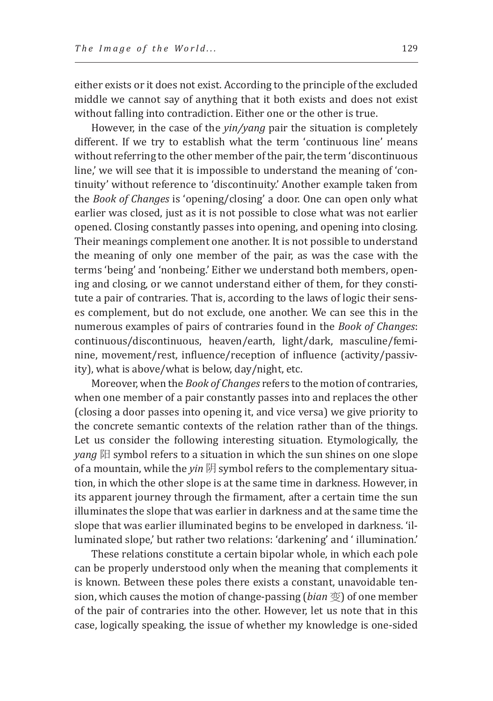either exists or it does not exist. According to the principle of the excluded middle we cannot say of anything that it both exists and does not exist without falling into contradiction. Either one or the other is true.

However, in the case of the *yin/yang* pair the situation is completely different. If we try to establish what the term 'continuous line' means without referring to the other member of the pair, the term 'discontinuous line,' we will see that it is impossible to understand the meaning of 'continuity' without reference to 'discontinuity.' Another example taken from the *Book of Changes* is 'opening/closing' a door. One can open only what earlier was closed, just as it is not possible to close what was not earlier opened. Closing constantly passes into opening, and opening into closing. Their meanings complement one another. It is not possible to understand the meaning of only one member of the pair, as was the case with the terms 'being' and 'nonbeing.' Either we understand both members, opening and closing, or we cannot understand either of them, for they constitute a pair of contraries. That is, according to the laws of logic their senses complement, but do not exclude, one another. We can see this in the numerous examples of pairs of contraries found in the *Book of Changes*: continuous/discontinuous, heaven/earth, light/dark, masculine/feminine, movement/rest, influence/reception of influence (activity/passivity), what is above/what is below, day/night, etc.

Moreover, when the *Book of Changes* refers to the motion of contraries, when one member of a pair constantly passes into and replaces the other (closing a door passes into opening it, and vice versa) we give priority to the concrete semantic contexts of the relation rather than of the things. Let us consider the following interesting situation. Etymologically, the *yang* 阳 symbol refers to a situation in which the sun shines on one slope of a mountain, while the *yin* 阴 symbol refers to the complementary situation, in which the other slope is at the same time in darkness. However, in its apparent journey through the firmament, after a certain time the sun illuminates the slope that was earlier in darkness and at the same time the slope that was earlier illuminated begins to be enveloped in darkness. 'illuminated slope,' but rather two relations: 'darkening' and ' illumination.'

These relations constitute a certain bipolar whole, in which each pole can be properly understood only when the meaning that complements it is known. Between these poles there exists a constant, unavoidable tension, which causes the motion of change-passing (*bian* 变) of one member of the pair of contraries into the other. However, let us note that in this case, logically speaking, the issue of whether my knowledge is one-sided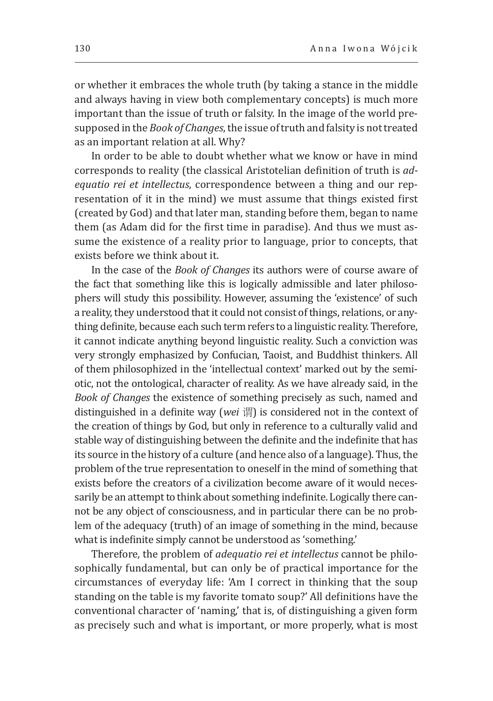or whether it embraces the whole truth (by taking a stance in the middle and always having in view both complementary concepts) is much more important than the issue of truth or falsity. In the image of the world presupposed in the *Book of Changes*, the issue of truth and falsity is not treated as an important relation at all. Why?

In order to be able to doubt whether what we know or have in mind corresponds to reality (the classical Aristotelian definition of truth is *adequatio rei et intellectus*, correspondence between a thing and our representation of it in the mind) we must assume that things existed first (created by God) and that later man, standing before them, began to name them (as Adam did for the first time in paradise). And thus we must assume the existence of a reality prior to language, prior to concepts, that exists before we think about it.

In the case of the *Book of Changes* its authors were of course aware of the fact that something like this is logically admissible and later philosophers will study this possibility. However, assuming the 'existence' of such a reality, they understood that it could not consist of things, relations, or anything definite, because each such term refers to a linguistic reality. Therefore, it cannot indicate anything beyond linguistic reality. Such a conviction was very strongly emphasized by Confucian, Taoist, and Buddhist thinkers. All of them philosophized in the 'intellectual context' marked out by the semiotic, not the ontological, character of reality. As we have already said, in the *Book of Changes* the existence of something precisely as such, named and distinguished in a definite way (*wei* 谓) is considered not in the context of the creation of things by God, but only in reference to a culturally valid and stable way of distinguishing between the definite and the indefinite that has its source in the history of a culture (and hence also of a language). Thus, the problem of the true representation to oneself in the mind of something that exists before the creators of a civilization become aware of it would necessarily be an attempt to think about something indefinite. Logically there cannot be any object of consciousness, and in particular there can be no problem of the adequacy (truth) of an image of something in the mind, because what is indefinite simply cannot be understood as 'something.'

Therefore, the problem of *adequatio rei et intellectus* cannot be philosophically fundamental, but can only be of practical importance for the circumstances of everyday life: 'Am I correct in thinking that the soup standing on the table is my favorite tomato soup?' All definitions have the conventional character of 'naming,' that is, of distinguishing a given form as precisely such and what is important, or more properly, what is most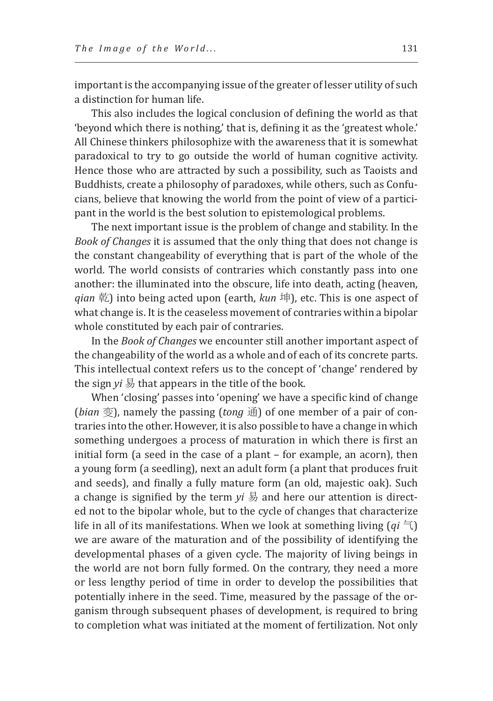important is the accompanying issue of the greater of lesser utility of such a distinction for human life.

This also includes the logical conclusion of defining the world as that 'beyond which there is nothing,' that is, defining it as the 'greatest whole.' All Chinese thinkers philosophize with the awareness that it is somewhat paradoxical to try to go outside the world of human cognitive activity. Hence those who are attracted by such a possibility, such as Taoists and Buddhists, create a philosophy of paradoxes, while others, such as Confucians, believe that knowing the world from the point of view of a participant in the world is the best solution to epistemological problems.

The next important issue is the problem of change and stability. In the *Book of Changes* it is assumed that the only thing that does not change is the constant changeability of everything that is part of the whole of the world. The world consists of contraries which constantly pass into one another: the illuminated into the obscure, life into death, acting (heaven, *qian* 乾) into being acted upon (earth, *kun* 坤), etc. This is one aspect of what change is. It is the ceaseless movement of contraries within a bipolar whole constituted by each pair of contraries.

In the *Book of Changes* we encounter still another important aspect of the changeability of the world as a whole and of each of its concrete parts. This intellectual context refers us to the concept of 'change' rendered by the sign *yi* 易 that appears in the title of the book.

When 'closing' passes into 'opening' we have a specific kind of change (*bian* 变), namely the passing (*tong* 通) of one member of a pair of contraries into the other. However, it is also possible to have a change in which something undergoes a process of maturation in which there is first an initial form (a seed in the case of a plant – for example, an acorn), then a young form (a seedling), next an adult form (a plant that produces fruit and seeds), and finally a fully mature form (an old, majestic oak). Such a change is signified by the term *yi* 易 and here our attention is directed not to the bipolar whole, but to the cycle of changes that characterize life in all of its manifestations. When we look at something living  $(qi \in \mathcal{I})$ we are aware of the maturation and of the possibility of identifying the developmental phases of a given cycle. The majority of living beings in the world are not born fully formed. On the contrary, they need a more or less lengthy period of time in order to develop the possibilities that potentially inhere in the seed. Time, measured by the passage of the organism through subsequent phases of development, is required to bring to completion what was initiated at the moment of fertilization. Not only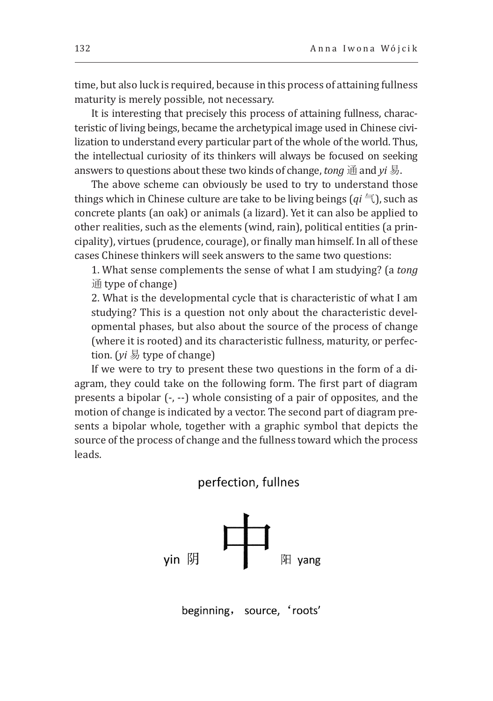time, but also luck is required, because in this process of attaining fullness maturity is merely possible, not necessary.

It is interesting that precisely this process of attaining fullness, characteristic of living beings, became the archetypical image used in Chinese civilization to understand every particular part of the whole of the world. Thus, the intellectual curiosity of its thinkers will always be focused on seeking answers to questions about these two kinds of change, *tong* 通 and *yi* 易.

The above scheme can obviously be used to try to understand those things which in Chinese culture are take to be living beings  $(qi \in I)$ , such as concrete plants (an oak) or animals (a lizard). Yet it can also be applied to other realities, such as the elements (wind, rain), political entities (a principality), virtues (prudence, courage), or finally man himself. In all of these cases Chinese thinkers will seek answers to the same two questions:

1. What sense complements the sense of what I am studying? (a *tong* 通 type of change)

2. What is the developmental cycle that is characteristic of what I am studying? This is a question not only about the characteristic developmental phases, but also about the source of the process of change (where it is rooted) and its characteristic fullness, maturity, or perfection. (*yi* 易 type of change)

If we were to try to present these two questions in the form of a diagram, they could take on the following form. The first part of diagram presents a bipolar (-, --) whole consisting of a pair of opposites, and the motion of change is indicated by a vector. The second part of diagram presents a bipolar whole, together with a graphic symbol that depicts the source of the process of change and the fullness toward which the process leads.



beginning, source, 'roots'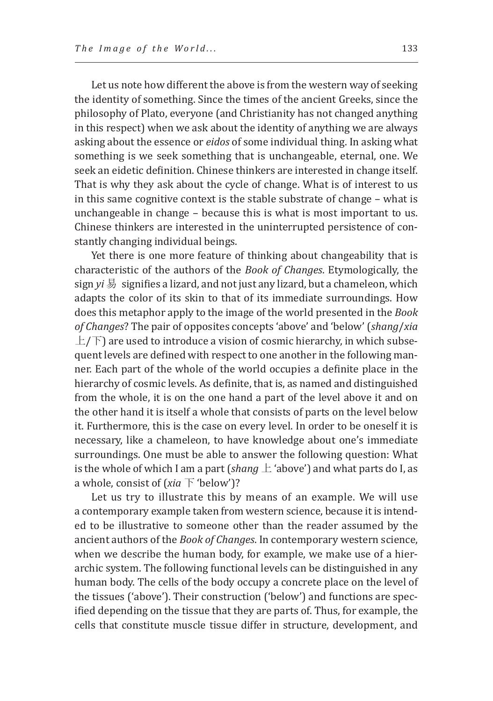Let us note how different the above is from the western way of seeking the identity of something. Since the times of the ancient Greeks, since the philosophy of Plato, everyone (and Christianity has not changed anything in this respect) when we ask about the identity of anything we are always asking about the essence or *eidos* of some individual thing. In asking what something is we seek something that is unchangeable, eternal, one. We seek an eidetic definition. Chinese thinkers are interested in change itself. That is why they ask about the cycle of change. What is of interest to us in this same cognitive context is the stable substrate of change – what is unchangeable in change – because this is what is most important to us. Chinese thinkers are interested in the uninterrupted persistence of constantly changing individual beings.

Yet there is one more feature of thinking about changeability that is characteristic of the authors of the *Book of Changes*. Etymologically, the sign *yi* 易 signifies a lizard, and not just any lizard, but a chameleon, which adapts the color of its skin to that of its immediate surroundings. How does this metaphor apply to the image of the world presented in the *Book of Changes*? The pair of opposites concepts 'above' and 'below' (*shang*/*xia*  $\pm$ / $\pm$ ) are used to introduce a vision of cosmic hierarchy, in which subsequent levels are defined with respect to one another in the following manner. Each part of the whole of the world occupies a definite place in the hierarchy of cosmic levels. As definite, that is, as named and distinguished from the whole, it is on the one hand a part of the level above it and on the other hand it is itself a whole that consists of parts on the level below it. Furthermore, this is the case on every level. In order to be oneself it is necessary, like a chameleon, to have knowledge about one's immediate surroundings. One must be able to answer the following question: What is the whole of which I am a part (*shang*  $\pm$  'above') and what parts do I, as a whole, consist of ( $xia \nabla$  'below')?

Let us try to illustrate this by means of an example. We will use a contemporary example taken from western science, because it is intended to be illustrative to someone other than the reader assumed by the ancient authors of the *Book of Changes*. In contemporary western science, when we describe the human body, for example, we make use of a hierarchic system. The following functional levels can be distinguished in any human body. The cells of the body occupy a concrete place on the level of the tissues ('above'). Their construction ('below') and functions are specified depending on the tissue that they are parts of. Thus, for example, the cells that constitute muscle tissue differ in structure, development, and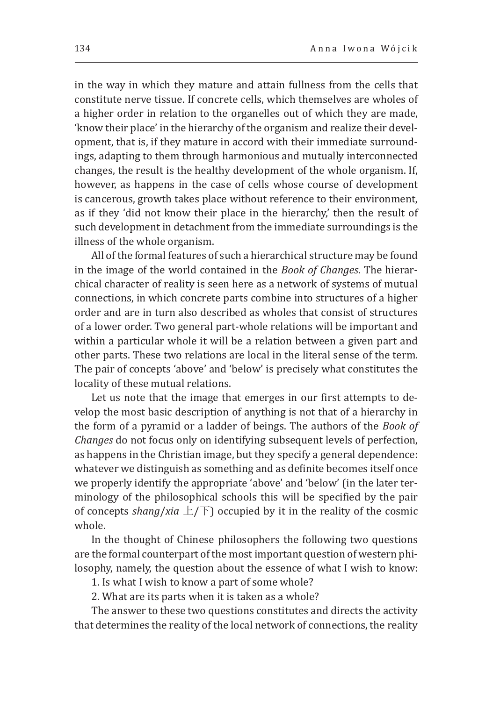in the way in which they mature and attain fullness from the cells that constitute nerve tissue. If concrete cells, which themselves are wholes of a higher order in relation to the organelles out of which they are made, 'know their place' in the hierarchy of the organism and realize their development, that is, if they mature in accord with their immediate surroundings, adapting to them through harmonious and mutually interconnected changes, the result is the healthy development of the whole organism. If, however, as happens in the case of cells whose course of development is cancerous, growth takes place without reference to their environment, as if they 'did not know their place in the hierarchy,' then the result of such development in detachment from the immediate surroundings is the illness of the whole organism.

All of the formal features of such a hierarchical structure may be found in the image of the world contained in the *Book of Changes*. The hierarchical character of reality is seen here as a network of systems of mutual connections, in which concrete parts combine into structures of a higher order and are in turn also described as wholes that consist of structures of a lower order. Two general part-whole relations will be important and within a particular whole it will be a relation between a given part and other parts. These two relations are local in the literal sense of the term. The pair of concepts 'above' and 'below' is precisely what constitutes the locality of these mutual relations.

Let us note that the image that emerges in our first attempts to develop the most basic description of anything is not that of a hierarchy in the form of a pyramid or a ladder of beings. The authors of the *Book of Changes* do not focus only on identifying subsequent levels of perfection, as happens in the Christian image, but they specify a general dependence: whatever we distinguish as something and as definite becomes itself once we properly identify the appropriate 'above' and 'below' (in the later terminology of the philosophical schools this will be specified by the pair of concepts *shang*/*xia*  $\pm$ / $\pm$ ) occupied by it in the reality of the cosmic whole.

In the thought of Chinese philosophers the following two questions are the formal counterpart of the most important question of western philosophy, namely, the question about the essence of what I wish to know:

1. Is what I wish to know a part of some whole?

2. What are its parts when it is taken as a whole?

The answer to these two questions constitutes and directs the activity that determines the reality of the local network of connections, the reality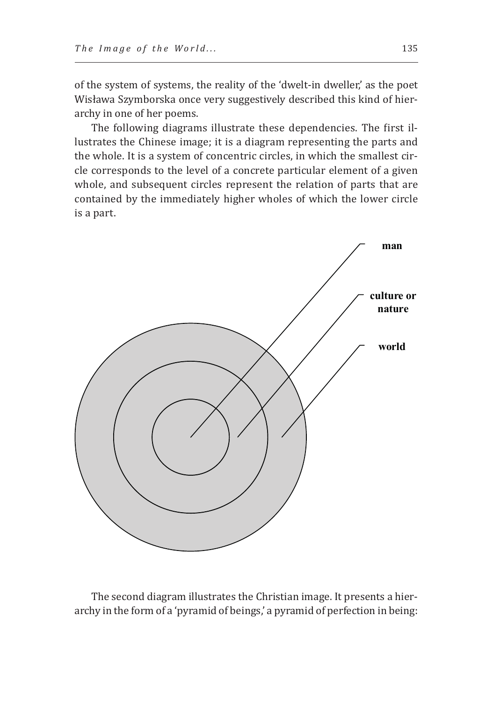of the system of systems, the reality of the 'dwelt-in dweller,' as the poet Wisława Szymborska once very suggestively described this kind of hierarchy in one of her poems.

The following diagrams illustrate these dependencies. The first illustrates the Chinese image; it is a diagram representing the parts and the whole. It is a system of concentric circles, in which the smallest circle corresponds to the level of a concrete particular element of a given whole, and subsequent circles represent the relation of parts that are contained by the immediately higher wholes of which the lower circle is a part.



The second diagram illustrates the Christian image. It presents a hierarchy in the form of a 'pyramid of beings,' a pyramid of perfection in being: